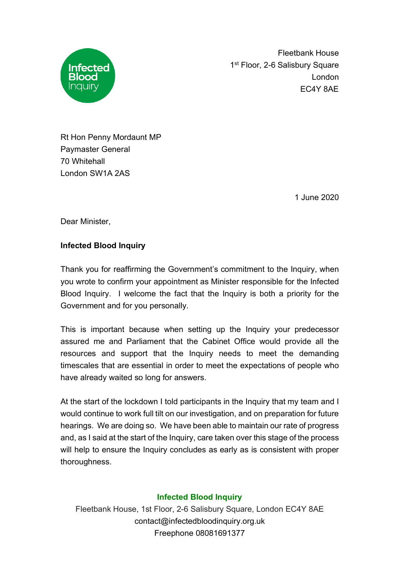

Fleetbank House 1<sup>st</sup> Floor, 2-6 Salisbury Square London EC4Y 8AE

Rt Hon Penny Mordaunt MP Paymaster General 70 Whitehall London SW1A 2AS

1 June 2020

Dear Minister,

## **Infected Blood Inquiry**

Thank you for reaffirming the Government's commitment to the Inquiry, when you wrote to confirm your appointment as Minister responsible for the Infected Blood Inquiry. I welcome the fact that the Inquiry is both a priority for the Government and for you personally.

This is important because when setting up the Inquiry your predecessor assured me and Parliament that the Cabinet Office would provide all the resources and support that the Inquiry needs to meet the demanding timescales that are essential in order to meet the expectations of people who have already waited so long for answers.

At the start of the lockdown I told participants in the Inquiry that my team and I would continue to work full tilt on our investigation, and on preparation for future hearings. We are doing so. We have been able to maintain our rate of progress and, as I said at the start of the Inquiry, care taken over this stage of the process will help to ensure the Inquiry concludes as early as is consistent with proper thoroughness.

## **Infected Blood Inquiry**

Fleetbank House, 1st Floor, 2-6 Salisbury Square, London EC4Y 8AE contact@infectedbloodinquiry.org.uk Freephone 08081691377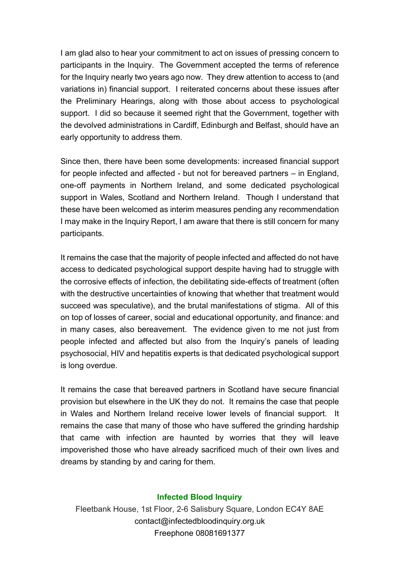I am glad also to hear your commitment to act on issues of pressing concern to participants in the Inquiry. The Government accepted the terms of reference for the Inquiry nearly two years ago now. They drew attention to access to (and variations in) financial support. I reiterated concerns about these issues after the Preliminary Hearings, along with those about access to psychological support. I did so because it seemed right that the Government, together with the devolved administrations in Cardiff, Edinburgh and Belfast, should have an early opportunity to address them.

Since then, there have been some developments: increased financial support for people infected and affected - but not for bereaved partners – in England, one-off payments in Northern Ireland, and some dedicated psychological support in Wales, Scotland and Northern Ireland. Though I understand that these have been welcomed as interim measures pending any recommendation I may make in the Inquiry Report, I am aware that there is still concern for many participants.

It remains the case that the majority of people infected and affected do not have access to dedicated psychological support despite having had to struggle with the corrosive effects of infection, the debilitating side-effects of treatment (often with the destructive uncertainties of knowing that whether that treatment would succeed was speculative), and the brutal manifestations of stigma. All of this on top of losses of career, social and educational opportunity, and finance: and in many cases, also bereavement. The evidence given to me not just from people infected and affected but also from the Inquiry's panels of leading psychosocial, HIV and hepatitis experts is that dedicated psychological support is long overdue.

It remains the case that bereaved partners in Scotland have secure financial provision but elsewhere in the UK they do not. It remains the case that people in Wales and Northern Ireland receive lower levels of financial support. It remains the case that many of those who have suffered the grinding hardship that came with infection are haunted by worries that they will leave impoverished those who have already sacrificed much of their own lives and dreams by standing by and caring for them.

## **Infected Blood Inquiry**

Fleetbank House, 1st Floor, 2-6 Salisbury Square, London EC4Y 8AE contact@infectedbloodinquiry.org.uk Freephone 08081691377